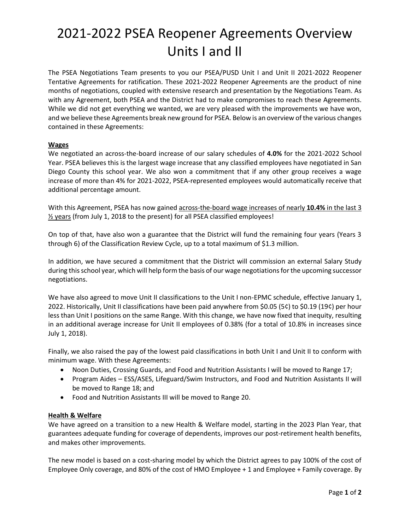# 2021-2022 PSEA Reopener Agreements Overview Units I and II

The PSEA Negotiations Team presents to you our PSEA/PUSD Unit I and Unit II 2021-2022 Reopener Tentative Agreements for ratification. These 2021-2022 Reopener Agreements are the product of nine months of negotiations, coupled with extensive research and presentation by the Negotiations Team. As with any Agreement, both PSEA and the District had to make compromises to reach these Agreements. While we did not get everything we wanted, we are very pleased with the improvements we have won, and we believe these Agreements break new ground for PSEA. Below is an overview of the various changes contained in these Agreements:

### **Wages**

We negotiated an across-the-board increase of our salary schedules of **4.0%** for the 2021-2022 School Year. PSEA believes this is the largest wage increase that any classified employees have negotiated in San Diego County this school year. We also won a commitment that if any other group receives a wage increase of more than 4% for 2021-2022, PSEA-represented employees would automatically receive that additional percentage amount.

With this Agreement, PSEA has now gained across-the-board wage increases of nearly **10.4%** in the last 3 ½ years (from July 1, 2018 to the present) for all PSEA classified employees!

On top of that, have also won a guarantee that the District will fund the remaining four years (Years 3 through 6) of the Classification Review Cycle, up to a total maximum of \$1.3 million.

In addition, we have secured a commitment that the District will commission an external Salary Study during this school year, which will help form the basis of our wage negotiations for the upcoming successor negotiations.

We have also agreed to move Unit II classifications to the Unit I non-EPMC schedule, effective January 1, 2022. Historically, Unit II classifications have been paid anywhere from \$0.05 (5¢) to \$0.19 (19¢) per hour less than Unit I positions on the same Range. With this change, we have now fixed that inequity, resulting in an additional average increase for Unit II employees of 0.38% (for a total of 10.8% in increases since July 1, 2018).

Finally, we also raised the pay of the lowest paid classifications in both Unit I and Unit II to conform with minimum wage. With these Agreements:

- Noon Duties, Crossing Guards, and Food and Nutrition Assistants I will be moved to Range 17;
- Program Aides ESS/ASES, Lifeguard/Swim Instructors, and Food and Nutrition Assistants II will be moved to Range 18; and
- Food and Nutrition Assistants III will be moved to Range 20.

### **Health & Welfare**

We have agreed on a transition to a new Health & Welfare model, starting in the 2023 Plan Year, that guarantees adequate funding for coverage of dependents, improves our post-retirement health benefits, and makes other improvements.

The new model is based on a cost-sharing model by which the District agrees to pay 100% of the cost of Employee Only coverage, and 80% of the cost of HMO Employee + 1 and Employee + Family coverage. By